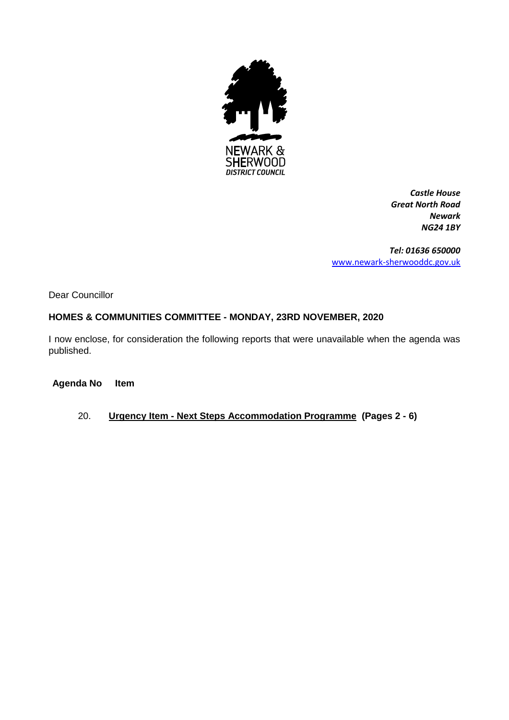

*Castle House Great North Road Newark NG24 1BY*

*Tel: 01636 650000* [www.newark-sherwooddc.gov.uk](http://www.newark-sherwooddc.gov.uk/)

Dear Councillor

# **HOMES & COMMUNITIES COMMITTEE - MONDAY, 23RD NOVEMBER, 2020**

I now enclose, for consideration the following reports that were unavailable when the agenda was published.

# **Agenda No Item**

20. **Urgency Item - Next Steps Accommodation Programme (Pages 2 - 6)**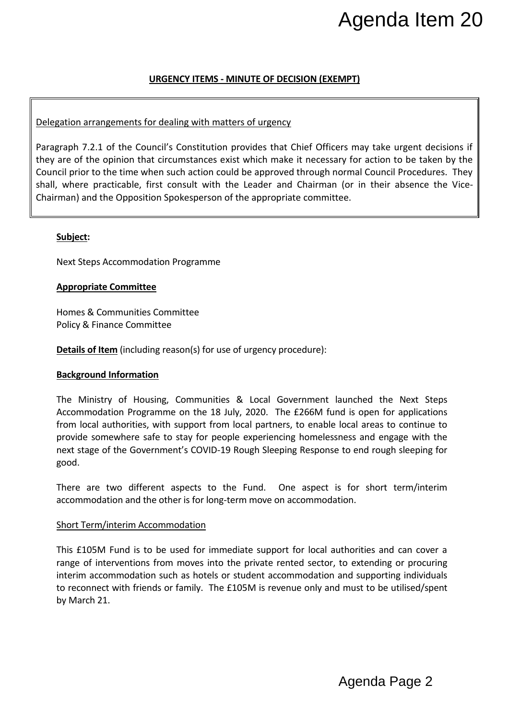# **URGENCY ITEMS - MINUTE OF DECISION (EXEMPT)**

#### Delegation arrangements for dealing with matters of urgency

Paragraph 7.2.1 of the Council's Constitution provides that Chief Officers may take urgent decisions if they are of the opinion that circumstances exist which make it necessary for action to be taken by the Council prior to the time when such action could be approved through normal Council Procedures. They shall, where practicable, first consult with the Leader and Chairman (or in their absence the Vice-Chairman) and the Opposition Spokesperson of the appropriate committee. Agenda Page 2 Agenda Item 20

#### **Subject:**

Next Steps Accommodation Programme

#### **Appropriate Committee**

Homes & Communities Committee Policy & Finance Committee

**Details of Item** (including reason(s) for use of urgency procedure):

#### **Background Information**

The Ministry of Housing, Communities & Local Government launched the Next Steps Accommodation Programme on the 18 July, 2020. The £266M fund is open for applications from local authorities, with support from local partners, to enable local areas to continue to provide somewhere safe to stay for people experiencing homelessness and engage with the next stage of the Government's COVID-19 Rough Sleeping Response to end rough sleeping for good.

There are two different aspects to the Fund. One aspect is for short term/interim accommodation and the other is for long-term move on accommodation.

#### Short Term/interim Accommodation

This £105M Fund is to be used for immediate support for local authorities and can cover a range of interventions from moves into the private rented sector, to extending or procuring interim accommodation such as hotels or student accommodation and supporting individuals to reconnect with friends or family. The £105M is revenue only and must to be utilised/spent by March 21.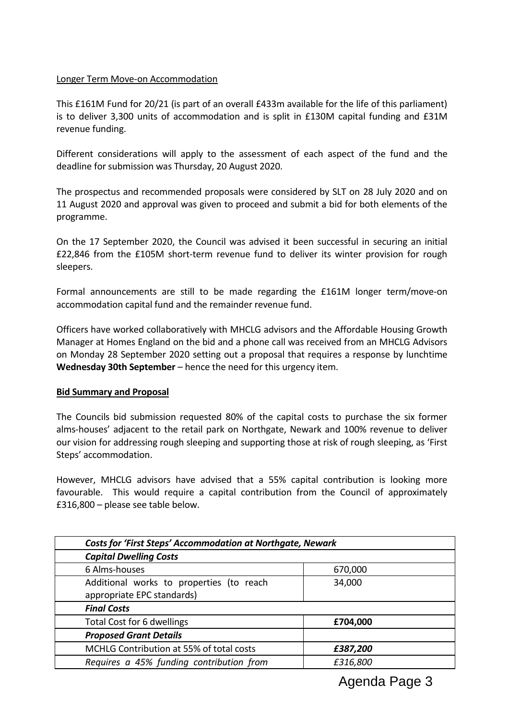#### Longer Term Move-on Accommodation

This £161M Fund for 20/21 (is part of an overall £433m available for the life of this parliament) is to deliver 3,300 units of accommodation and is split in £130M capital funding and £31M revenue funding.

Different considerations will apply to the assessment of each aspect of the fund and the deadline for submission was Thursday, 20 August 2020.

The prospectus and recommended proposals were considered by SLT on 28 July 2020 and on 11 August 2020 and approval was given to proceed and submit a bid for both elements of the programme.

On the 17 September 2020, the Council was advised it been successful in securing an initial £22,846 from the £105M short-term revenue fund to deliver its winter provision for rough sleepers.

Formal announcements are still to be made regarding the £161M longer term/move-on accommodation capital fund and the remainder revenue fund.

Officers have worked collaboratively with MHCLG advisors and the Affordable Housing Growth Manager at Homes England on the bid and a phone call was received from an MHCLG Advisors on Monday 28 September 2020 setting out a proposal that requires a response by lunchtime **Wednesday 30th September** – hence the need for this urgency item.

#### **Bid Summary and Proposal**

The Councils bid submission requested 80% of the capital costs to purchase the six former alms-houses' adjacent to the retail park on Northgate, Newark and 100% revenue to deliver our vision for addressing rough sleeping and supporting those at risk of rough sleeping, as 'First Steps' accommodation.

However, MHCLG advisors have advised that a 55% capital contribution is looking more favourable. This would require a capital contribution from the Council of approximately £316,800 – please see table below.

| <b>Costs for 'First Steps' Accommodation at Northgate, Newark</b> |          |
|-------------------------------------------------------------------|----------|
| <b>Capital Dwelling Costs</b>                                     |          |
| 6 Alms-houses                                                     | 670,000  |
| Additional works to properties (to reach                          | 34,000   |
| appropriate EPC standards)                                        |          |
| <b>Final Costs</b>                                                |          |
| Total Cost for 6 dwellings                                        | £704,000 |
| <b>Proposed Grant Details</b>                                     |          |
| MCHLG Contribution at 55% of total costs                          | £387,200 |
| Requires a 45% funding contribution from                          | £316,800 |

Agenda Page 3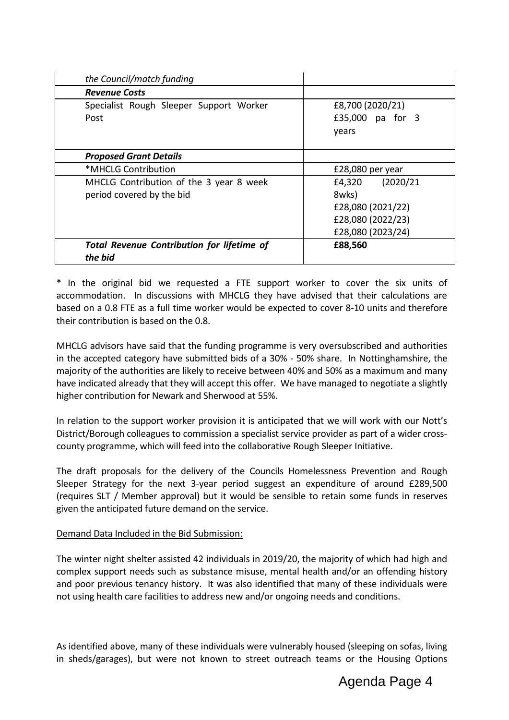| the Council/match funding                                            |                                                                                         |
|----------------------------------------------------------------------|-----------------------------------------------------------------------------------------|
| <b>Revenue Costs</b>                                                 |                                                                                         |
| Specialist Rough Sleeper Support Worker<br>Post                      | £8,700 (2020/21)<br>£35,000 pa for 3<br>years                                           |
| <b>Proposed Grant Details</b>                                        |                                                                                         |
| *MHCLG Contribution                                                  | £28,080 per year                                                                        |
| MHCLG Contribution of the 3 year 8 week<br>period covered by the bid | £4,320 (2020/21<br>8wks)<br>£28,080 (2021/22)<br>£28,080 (2022/23)<br>£28,080 (2023/24) |
| <b>Total Revenue Contribution for lifetime of</b><br>the bid         | £88,560                                                                                 |

\* In the original bid we requested a FTE support worker to cover the six units of accommodation. In discussions with MHCLG they have advised that their calculations are based on a 0.8 FTE as a full time worker would be expected to cover 8-10 units and therefore their contribution is based on the 0.8.

MHCLG advisors have said that the funding programme is very oversubscribed and authorities in the accepted category have submitted bids of a 30% - 50% share. In Nottinghamshire, the majority of the authorities are likely to receive between 40% and 50% as a maximum and many have indicated already that they will accept this offer. We have managed to negotiate a slightly higher contribution for Newark and Sherwood at 55%.

In relation to the support worker provision it is anticipated that we will work with our Nott's District/Borough colleagues to commission a specialist service provider as part of a wider crosscounty programme, which will feed into the collaborative Rough Sleeper Initiative.

The draft proposals for the delivery of the Councils Homelessness Prevention and Rough Sleeper Strategy for the next 3-year period suggest an expenditure of around £289,500 (requires SLT / Member approval) but it would be sensible to retain some funds in reserves given the anticipated future demand on the service.

# Demand Data Included in the Bid Submission:

The winter night shelter assisted 42 individuals in 2019/20, the majority of which had high and complex support needs such as substance misuse, mental health and/or an offending history and poor previous tenancy history. It was also identified that many of these individuals were not using health care facilities to address new and/or ongoing needs and conditions.

As identified above, many of these individuals were vulnerably housed (sleeping on sofas, living in sheds/garages), but were not known to street outreach teams or the Housing Options

# Agenda Page 4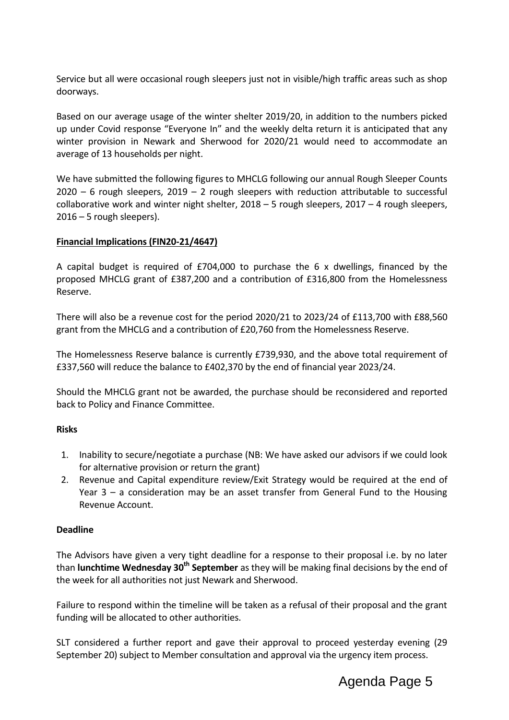Service but all were occasional rough sleepers just not in visible/high traffic areas such as shop doorways.

Based on our average usage of the winter shelter 2019/20, in addition to the numbers picked up under Covid response "Everyone In" and the weekly delta return it is anticipated that any winter provision in Newark and Sherwood for 2020/21 would need to accommodate an average of 13 households per night.

We have submitted the following figures to MHCLG following our annual Rough Sleeper Counts  $2020 - 6$  rough sleepers,  $2019 - 2$  rough sleepers with reduction attributable to successful collaborative work and winter night shelter, 2018 – 5 rough sleepers, 2017 – 4 rough sleepers, 2016 – 5 rough sleepers).

#### **Financial Implications (FIN20-21/4647)**

A capital budget is required of £704,000 to purchase the 6 x dwellings, financed by the proposed MHCLG grant of £387,200 and a contribution of £316,800 from the Homelessness Reserve.

There will also be a revenue cost for the period 2020/21 to 2023/24 of £113,700 with £88,560 grant from the MHCLG and a contribution of £20,760 from the Homelessness Reserve.

The Homelessness Reserve balance is currently £739,930, and the above total requirement of £337,560 will reduce the balance to £402,370 by the end of financial year 2023/24.

Should the MHCLG grant not be awarded, the purchase should be reconsidered and reported back to Policy and Finance Committee.

#### **Risks**

- 1. Inability to secure/negotiate a purchase (NB: We have asked our advisors if we could look for alternative provision or return the grant)
- 2. Revenue and Capital expenditure review/Exit Strategy would be required at the end of Year 3 – a consideration may be an asset transfer from General Fund to the Housing Revenue Account.

#### **Deadline**

The Advisors have given a very tight deadline for a response to their proposal i.e. by no later than **lunchtime Wednesday 30th September** as they will be making final decisions by the end of the week for all authorities not just Newark and Sherwood.

Failure to respond within the timeline will be taken as a refusal of their proposal and the grant funding will be allocated to other authorities.

SLT considered a further report and gave their approval to proceed yesterday evening (29 September 20) subject to Member consultation and approval via the urgency item process.